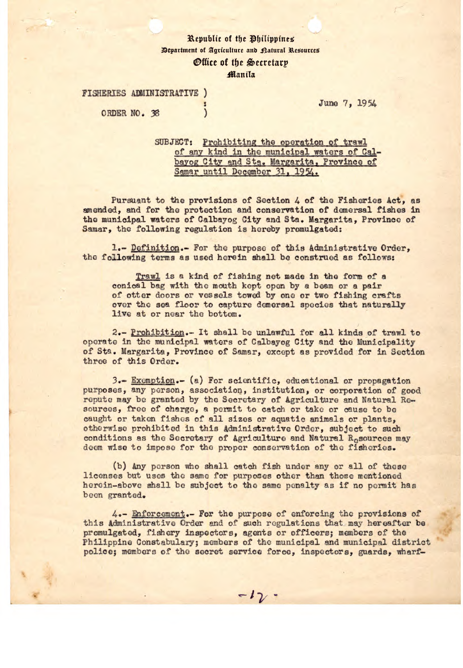## Republic of the Philippines **Bepartment of Agriculture and Ratural Resources** *<u>Office of the Secretary</u>* **Manila**

**FISHERIES ADMINISTRATIVE )** 

ORDER NO. 38

**Juno** 7, *1954* 

SUBJECT: Prohibiting the operation of trawl of any kind in the municipal waters of Calbayog City and Sta. Margarita, Province of Samar until December 31, 1954.

Pursuant to the provisions of Section *4* of the Fisheries Act, as amended, and for the protection and conservation of demersal fishes in the municipal waters of Calbayog City and Sta. Margarita, Province of Samar, the following regulation is hereby promulgated:

1.- Definition.- For the purpose of this administrative Order, the following terms as used herein shall be construed as follows:

Trawl is a kind of fishing net made in the form of a conical bag with the mouth kept open by a beam or a pair of otter doors or vessels towed by one or two fishing crafts over the sea floor to capture demersal species that naturally live at or near the bottom.

2.- Prohibition.- It shall be unlawful for all kinds of trawl to operate in the municipal waters of Calbayog City and the Municipality of Ste. Margarita, Province of Samar, except as provided for in Section throo of this Order.

*3.-.* Exemption.- (a) For scientific, educational or propagation purposes, any person, association, Institution, or corporation of good repute may be granted by the Secretary of Agriculture and Natural Resources, free of charge, a permit to catch or take or cause to be caught or taken fishes of all sizes or aquatic animals or plants, otherwise prohibited In this Administrative Order, subject to such conditions as the Secretary of Agriculture and Natural Resources may doom wise to impose for the proper conservation of the fisheries.

(b) Any person who shall catch fish under any or all of those licenses but uses the same for purposes other than those mentioned herein-above shall be subject to the same penalty as if no permit has been granted.

 $4.4$ - Enforcement.- For the purpose of enforcing the provisions of this Administrative Order and of such regulations that may hereafter be promulgated, fishery inspectors, agents or officers; members of the Philippine Constabulary; members of the municipal and municipal district police; members of the secret service force, inspectors, guards, wharf-

 $-12 -$